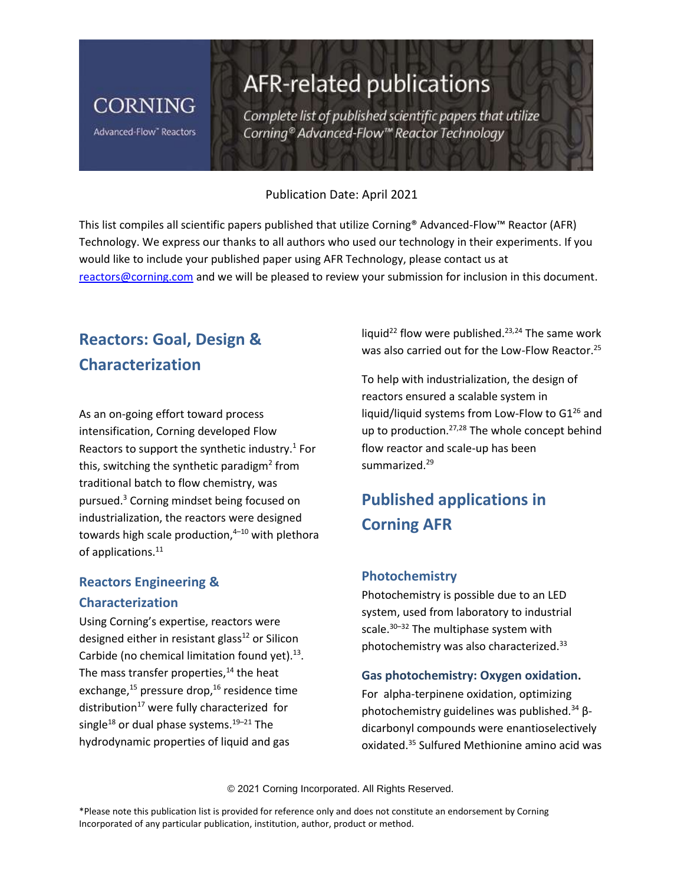# **CORNING**

Advanced-Flow" Reactors

# AFR-related publications

Complete list of published scientific papers that utilize Corning® Advanced-Flow™ Reactor Technology

#### Publication Date: April 2021

This list compiles all scientific papers published that utilize Corning® Advanced-Flow™ Reactor (AFR) Technology. We express our thanks to all authors who used our technology in their experiments. If you would like to include your published paper using AFR Technology, please contact us at [reactors@corning.com](mailto:reactors@corning.com) and we will be pleased to review your submission for inclusion in this document.

# **Reactors: Goal, Design & Characterization**

As an on-going effort toward process intensification, Corning developed Flow Reactors to support the synthetic industry. $1$  For this, switching the synthetic paradigm<sup>2</sup> from traditional batch to flow chemistry, was pursued.<sup>3</sup> Corning mindset being focused on industrialization, the reactors were designed towards high scale production, <sup>4</sup>–<sup>10</sup> with plethora of applications.<sup>11</sup>

# **Reactors Engineering & Characterization**

Using Corning's expertise, reactors were designed either in resistant glass<sup>12</sup> or Silicon Carbide (no chemical limitation found yet).<sup>13</sup>. The mass transfer properties, $14$  the heat exchange, $^{15}$  pressure drop, $^{16}$  residence time distribution $17$  were fully characterized for single<sup>18</sup> or dual phase systems.<sup>19-21</sup> The hydrodynamic properties of liquid and gas

liquid<sup>22</sup> flow were published.<sup>23,24</sup> The same work was also carried out for the Low-Flow Reactor.<sup>25</sup>

To help with industrialization, the design of reactors ensured a scalable system in liquid/liquid systems from Low-Flow to  $G1^{26}$  and up to production.<sup>27,28</sup> The whole concept behind flow reactor and scale-up has been summarized.<sup>29</sup>

# **Published applications in Corning AFR**

### **Photochemistry**

Photochemistry is possible due to an LED system, used from laboratory to industrial scale.<sup>30–32</sup> The multiphase system with photochemistry was also characterized.<sup>33</sup>

#### **Gas photochemistry: Oxygen oxidation.**

For alpha-terpinene oxidation, optimizing photochemistry guidelines was published.<sup>34</sup> βdicarbonyl compounds were enantioselectively oxidated.<sup>35</sup> Sulfured Methionine amino acid was

© 2021 Corning Incorporated. All Rights Reserved.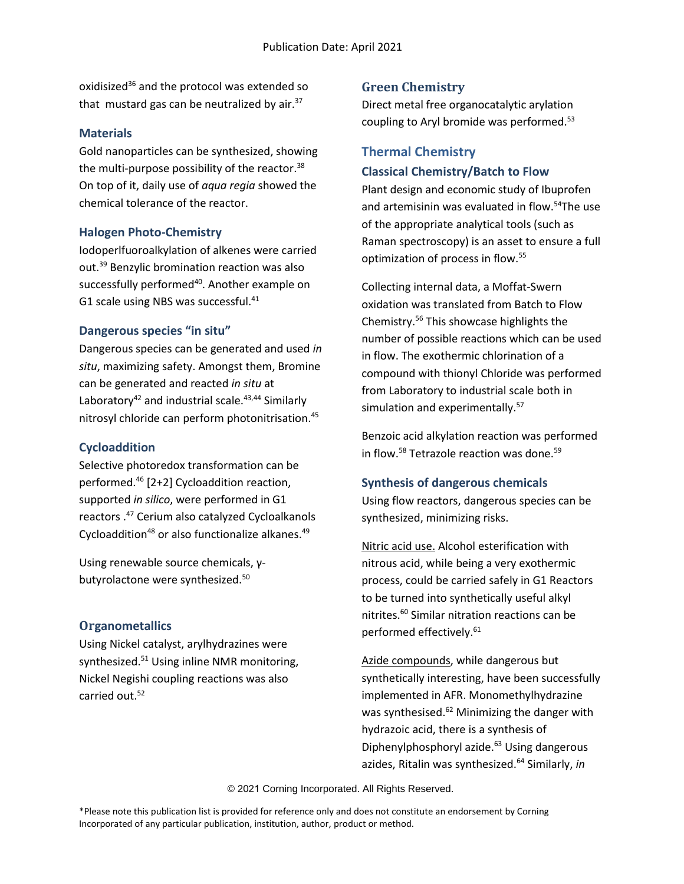oxidisized<sup>36</sup> and the protocol was extended so that mustard gas can be neutralized by air. $37$ 

#### **Materials**

Gold nanoparticles can be synthesized, showing the multi-purpose possibility of the reactor.<sup>38</sup> On top of it, daily use of *aqua regia* showed the chemical tolerance of the reactor.

## **Halogen Photo-Chemistry**

Iodoperlfuoroalkylation of alkenes were carried out.<sup>39</sup> Benzylic bromination reaction was also successfully performed<sup>40</sup>. Another example on G1 scale using NBS was successful.<sup>41</sup>

## **Dangerous species "in situ"**

Dangerous species can be generated and used *in situ*, maximizing safety. Amongst them, Bromine can be generated and reacted *in situ* at Laboratory<sup>42</sup> and industrial scale.<sup>43,44</sup> Similarly nitrosyl chloride can perform photonitrisation.<sup>45</sup>

# **Cycloaddition**

Selective photoredox transformation can be performed.<sup>46</sup> [2+2] Cycloaddition reaction, supported *in silico*, were performed in G1 reactors .<sup>47</sup> Cerium also catalyzed Cycloalkanols Cycloaddition<sup>48</sup> or also functionalize alkanes.<sup>49</sup>

Using renewable source chemicals, γbutyrolactone were synthesized.<sup>50</sup>

# **Organometallics**

Using Nickel catalyst, arylhydrazines were synthesized.<sup>51</sup> Using inline NMR monitoring, Nickel Negishi coupling reactions was also carried out.<sup>52</sup>

# **Green Chemistry**

Direct metal free organocatalytic arylation coupling to Aryl bromide was performed.<sup>53</sup>

# **Thermal Chemistry Classical Chemistry/Batch to Flow**

Plant design and economic study of Ibuprofen and artemisinin was evaluated in flow.<sup>54</sup>The use of the appropriate analytical tools (such as Raman spectroscopy) is an asset to ensure a full optimization of process in flow.<sup>55</sup>

Collecting internal data, a Moffat-Swern oxidation was translated from Batch to Flow Chemistry.<sup>56</sup> This showcase highlights the number of possible reactions which can be used in flow. The exothermic chlorination of a compound with thionyl Chloride was performed from Laboratory to industrial scale both in simulation and experimentally.<sup>57</sup>

Benzoic acid alkylation reaction was performed in flow.<sup>58</sup> Tetrazole reaction was done.<sup>59</sup>

### **Synthesis of dangerous chemicals**

Using flow reactors, dangerous species can be synthesized, minimizing risks.

Nitric acid use. Alcohol esterification with nitrous acid, while being a very exothermic process, could be carried safely in G1 Reactors to be turned into synthetically useful alkyl nitrites.<sup>60</sup> Similar nitration reactions can be performed effectively.<sup>61</sup>

Azide compounds, while dangerous but synthetically interesting, have been successfully implemented in AFR. Monomethylhydrazine was synthesised.<sup>62</sup> Minimizing the danger with hydrazoic acid, there is a synthesis of Diphenylphosphoryl azide. <sup>63</sup> Using dangerous azides, Ritalin was synthesized.<sup>64</sup> Similarly, *in* 

© 2021 Corning Incorporated. All Rights Reserved.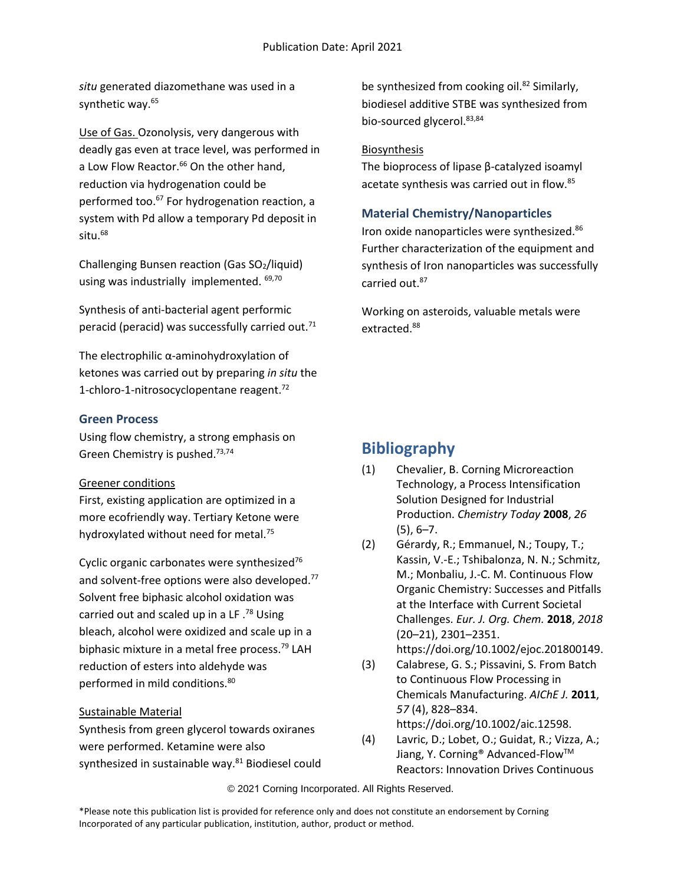*situ* generated diazomethane was used in a synthetic way.<sup>65</sup>

Use of Gas. Ozonolysis, very dangerous with deadly gas even at trace level, was performed in a Low Flow Reactor.<sup>66</sup> On the other hand, reduction via hydrogenation could be performed too.<sup>67</sup> For hydrogenation reaction, a system with Pd allow a temporary Pd deposit in  $s$ itu. $68$ 

Challenging Bunsen reaction (Gas SO2/liquid) using was industrially implemented. <sup>69,70</sup>

Synthesis of anti-bacterial agent performic peracid (peracid) was successfully carried out.<sup>71</sup>

The electrophilic α-aminohydroxylation of ketones was carried out by preparing *in situ* the 1-chloro-1-nitrosocyclopentane reagent.<sup>72</sup>

### **Green Process**

Using flow chemistry, a strong emphasis on Green Chemistry is pushed.73,74

#### Greener conditions

First, existing application are optimized in a more ecofriendly way. Tertiary Ketone were hydroxylated without need for metal.<sup>75</sup>

Cyclic organic carbonates were synthesized<sup>76</sup> and solvent-free options were also developed.<sup>77</sup> Solvent free biphasic alcohol oxidation was carried out and scaled up in a LF  $^{78}$  Using bleach, alcohol were oxidized and scale up in a biphasic mixture in a metal free process.<sup>79</sup> LAH reduction of esters into aldehyde was performed in mild conditions.<sup>80</sup>

### Sustainable Material

Synthesis from green glycerol towards oxiranes were performed. Ketamine were also synthesized in sustainable way.<sup>81</sup> Biodiesel could be synthesized from cooking oil.<sup>82</sup> Similarly, biodiesel additive STBE was synthesized from bio-sourced glycerol.<sup>83,84</sup>

### Biosynthesis

The bioprocess of lipase β-catalyzed isoamyl acetate synthesis was carried out in flow.<sup>85</sup>

### **Material Chemistry/Nanoparticles**

Iron oxide nanoparticles were synthesized.<sup>86</sup> Further characterization of the equipment and synthesis of Iron nanoparticles was successfully carried out.<sup>87</sup>

Working on asteroids, valuable metals were extracted.<sup>88</sup>

# **Bibliography**

- (1) Chevalier, B. Corning Microreaction Technology, a Process Intensification Solution Designed for Industrial Production. *Chemistry Today* **2008**, *26* (5), 6–7.
- (2) Gérardy, R.; Emmanuel, N.; Toupy, T.; Kassin, V.-E.; Tshibalonza, N. N.; Schmitz, M.; Monbaliu, J.-C. M. Continuous Flow Organic Chemistry: Successes and Pitfalls at the Interface with Current Societal Challenges. *Eur. J. Org. Chem.* **2018**, *2018* (20–21), 2301–2351. https://doi.org/10.1002/ejoc.201800149.
- (3) Calabrese, G. S.; Pissavini, S. From Batch to Continuous Flow Processing in Chemicals Manufacturing. *AIChE J.* **2011**, *57* (4), 828–834. https://doi.org/10.1002/aic.12598.
- (4) Lavric, D.; Lobet, O.; Guidat, R.; Vizza, A.; Jiang, Y. Corning<sup>®</sup> Advanced-Flow<sup>™</sup> Reactors: Innovation Drives Continuous

© 2021 Corning Incorporated. All Rights Reserved.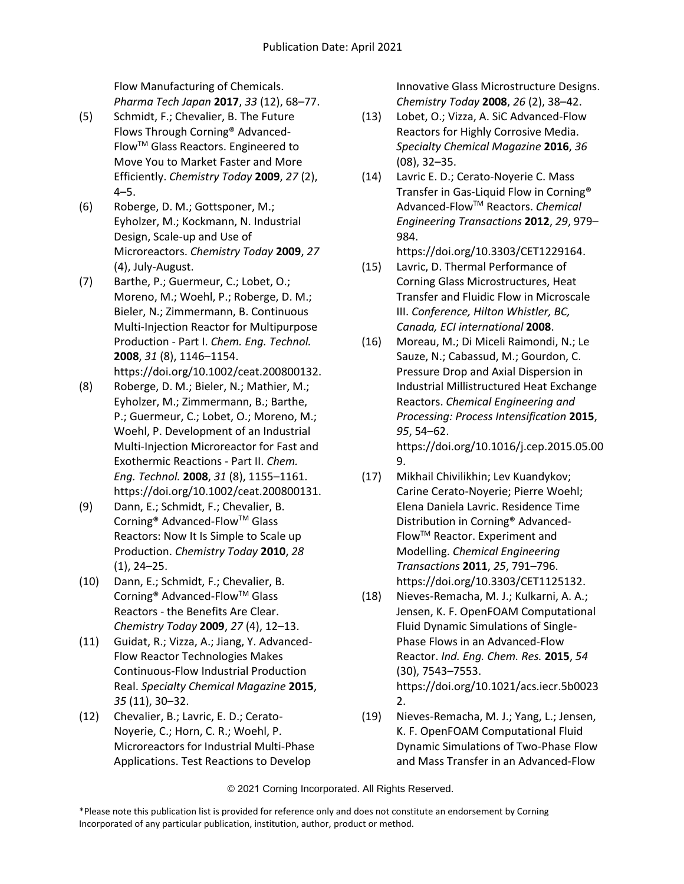Flow Manufacturing of Chemicals. *Pharma Tech Japan* **2017**, *33* (12), 68–77.

- (5) Schmidt, F.; Chevalier, B. The Future Flows Through Corning® Advanced-FlowTM Glass Reactors. Engineered to Move You to Market Faster and More Efficiently. *Chemistry Today* **2009**, *27* (2), 4–5.
- (6) Roberge, D. M.; Gottsponer, M.; Eyholzer, M.; Kockmann, N. Industrial Design, Scale-up and Use of Microreactors. *Chemistry Today* **2009**, *27* (4), July-August.
- (7) Barthe, P.; Guermeur, C.; Lobet, O.; Moreno, M.; Woehl, P.; Roberge, D. M.; Bieler, N.; Zimmermann, B. Continuous Multi-Injection Reactor for Multipurpose Production - Part I. *Chem. Eng. Technol.* **2008**, *31* (8), 1146–1154. https://doi.org/10.1002/ceat.200800132.
- (8) Roberge, D. M.; Bieler, N.; Mathier, M.; Eyholzer, M.; Zimmermann, B.; Barthe, P.; Guermeur, C.; Lobet, O.; Moreno, M.; Woehl, P. Development of an Industrial Multi-Injection Microreactor for Fast and Exothermic Reactions - Part II. *Chem. Eng. Technol.* **2008**, *31* (8), 1155–1161. https://doi.org/10.1002/ceat.200800131.
- (9) Dann, E.; Schmidt, F.; Chevalier, B. Corning® Advanced-FlowTM Glass Reactors: Now It Is Simple to Scale up Production. *Chemistry Today* **2010**, *28* (1), 24–25.
- (10) Dann, E.; Schmidt, F.; Chevalier, B. Corning® Advanced-FlowTM Glass Reactors - the Benefits Are Clear. *Chemistry Today* **2009**, *27* (4), 12–13.
- (11) Guidat, R.; Vizza, A.; Jiang, Y. Advanced-Flow Reactor Technologies Makes Continuous-Flow Industrial Production Real. *Specialty Chemical Magazine* **2015**, *35* (11), 30–32.
- (12) Chevalier, B.; Lavric, E. D.; Cerato-Noyerie, C.; Horn, C. R.; Woehl, P. Microreactors for Industrial Multi-Phase Applications. Test Reactions to Develop

Innovative Glass Microstructure Designs. *Chemistry Today* **2008**, *26* (2), 38–42.

- (13) Lobet, O.; Vizza, A. SiC Advanced-Flow Reactors for Highly Corrosive Media. *Specialty Chemical Magazine* **2016**, *36* (08), 32–35.
- (14) Lavric E. D.; Cerato-Noyerie C. Mass Transfer in Gas-Liquid Flow in Corning® Advanced-FlowTM Reactors. *Chemical Engineering Transactions* **2012**, *29*, 979– 984. https://doi.org/10.3303/CET1229164.
- (15) Lavric, D. Thermal Performance of Corning Glass Microstructures, Heat Transfer and Fluidic Flow in Microscale III. *Conference, Hilton Whistler, BC, Canada, ECI international* **2008**.
- (16) Moreau, M.; Di Miceli Raimondi, N.; Le Sauze, N.; Cabassud, M.; Gourdon, C. Pressure Drop and Axial Dispersion in Industrial Millistructured Heat Exchange Reactors. *Chemical Engineering and Processing: Process Intensification* **2015**, *95*, 54–62. https://doi.org/10.1016/j.cep.2015.05.00 9.
- (17) Mikhail Chivilikhin; Lev Kuandykov; Carine Cerato-Noyerie; Pierre Woehl; Elena Daniela Lavric. Residence Time Distribution in Corning® Advanced-FlowTM Reactor. Experiment and Modelling. *Chemical Engineering Transactions* **2011**, *25*, 791–796. https://doi.org/10.3303/CET1125132.
- (18) Nieves-Remacha, M. J.; Kulkarni, A. A.; Jensen, K. F. OpenFOAM Computational Fluid Dynamic Simulations of Single-Phase Flows in an Advanced-Flow Reactor. *Ind. Eng. Chem. Res.* **2015**, *54* (30), 7543–7553. https://doi.org/10.1021/acs.iecr.5b0023 2.
- (19) Nieves-Remacha, M. J.; Yang, L.; Jensen, K. F. OpenFOAM Computational Fluid Dynamic Simulations of Two-Phase Flow and Mass Transfer in an Advanced-Flow

<sup>\*</sup>Please note this publication list is provided for reference only and does not constitute an endorsement by Corning Incorporated of any particular publication, institution, author, product or method.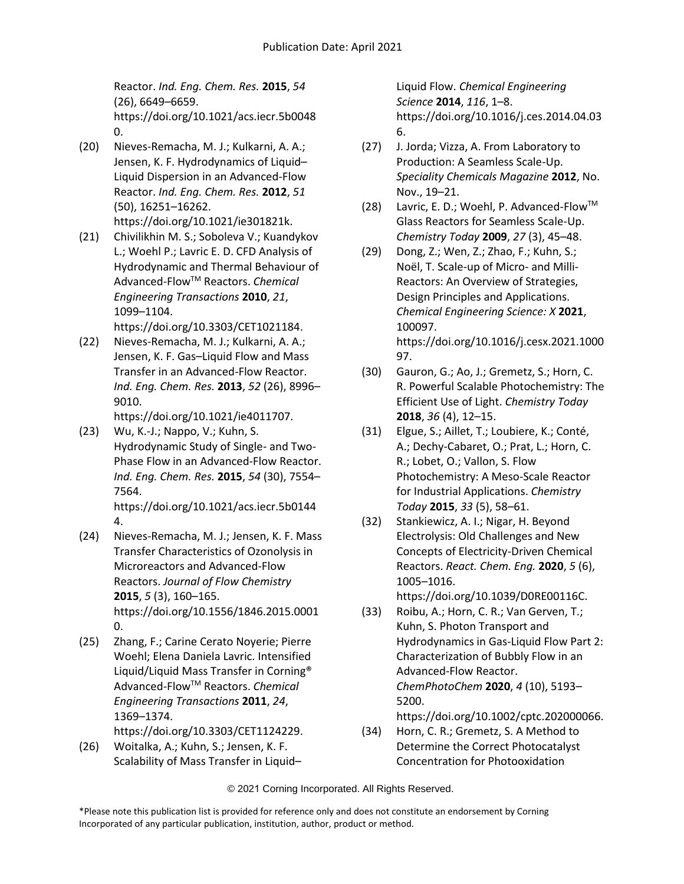Reactor. *Ind. Eng. Chem. Res.* **2015**, *54* (26), 6649–6659. https://doi.org/10.1021/acs.iecr.5b0048 0.

- (20) Nieves-Remacha, M. J.; Kulkarni, A. A.; Jensen, K. F. Hydrodynamics of Liquid– Liquid Dispersion in an Advanced-Flow Reactor. *Ind. Eng. Chem. Res.* **2012**, *51* (50), 16251–16262. https://doi.org/10.1021/ie301821k.
- (21) Chivilikhin M. S.; Soboleva V.; Kuandykov L.; Woehl P.; Lavric E. D. CFD Analysis of Hydrodynamic and Thermal Behaviour of Advanced-FlowTM Reactors. *Chemical Engineering Transactions* **2010**, *21*, 1099–1104.

https://doi.org/10.3303/CET1021184.

(22) Nieves-Remacha, M. J.; Kulkarni, A. A.; Jensen, K. F. Gas–Liquid Flow and Mass Transfer in an Advanced-Flow Reactor. *Ind. Eng. Chem. Res.* **2013**, *52* (26), 8996– 9010.

https://doi.org/10.1021/ie4011707.

(23) Wu, K.-J.; Nappo, V.; Kuhn, S. Hydrodynamic Study of Single- and Two-Phase Flow in an Advanced-Flow Reactor. *Ind. Eng. Chem. Res.* **2015**, *54* (30), 7554– 7564.

https://doi.org/10.1021/acs.iecr.5b0144 4.

- (24) Nieves-Remacha, M. J.; Jensen, K. F. Mass Transfer Characteristics of Ozonolysis in Microreactors and Advanced-Flow Reactors. *Journal of Flow Chemistry* **2015**, *5* (3), 160–165. https://doi.org/10.1556/1846.2015.0001 0.
- (25) Zhang, F.; Carine Cerato Noyerie; Pierre Woehl; Elena Daniela Lavric. Intensified Liquid/Liquid Mass Transfer in Corning® Advanced-FlowTM Reactors. *Chemical Engineering Transactions* **2011**, *24*, 1369–1374. https://doi.org/10.3303/CET1124229.
- (26) Woitalka, A.; Kuhn, S.; Jensen, K. F. Scalability of Mass Transfer in Liquid–

Liquid Flow. *Chemical Engineering Science* **2014**, *116*, 1–8. https://doi.org/10.1016/j.ces.2014.04.03 6.

- (27) J. Jorda; Vizza, A. From Laboratory to Production: A Seamless Scale-Up. *Speciality Chemicals Magazine* **2012**, No. Nov., 19–21.
- (28) Lavric, E. D.; Woehl, P. Advanced-FlowTM Glass Reactors for Seamless Scale-Up. *Chemistry Today* **2009**, *27* (3), 45–48.
- (29) Dong, Z.; Wen, Z.; Zhao, F.; Kuhn, S.; Noël, T. Scale-up of Micro- and Milli-Reactors: An Overview of Strategies, Design Principles and Applications. *Chemical Engineering Science: X* **2021**, 100097. https://doi.org/10.1016/j.cesx.2021.1000 97.
- (30) Gauron, G.; Ao, J.; Gremetz, S.; Horn, C. R. Powerful Scalable Photochemistry: The Efficient Use of Light. *Chemistry Today* **2018**, *36* (4), 12–15.
- (31) Elgue, S.; Aillet, T.; Loubiere, K.; Conté, A.; Dechy-Cabaret, O.; Prat, L.; Horn, C. R.; Lobet, O.; Vallon, S. Flow Photochemistry: A Meso-Scale Reactor for Industrial Applications. *Chemistry Today* **2015**, *33* (5), 58–61.
- (32) Stankiewicz, A. I.; Nigar, H. Beyond Electrolysis: Old Challenges and New Concepts of Electricity-Driven Chemical Reactors. *React. Chem. Eng.* **2020**, *5* (6), 1005–1016. https://doi.org/10.1039/D0RE00116C.
- (33) Roibu, A.; Horn, C. R.; Van Gerven, T.; Kuhn, S. Photon Transport and Hydrodynamics in Gas‐Liquid Flow Part 2: Characterization of Bubbly Flow in an Advanced‐Flow Reactor. *ChemPhotoChem* **2020**, *4* (10), 5193– 5200. https://doi.org/10.1002/cptc.202000066.
- (34) Horn, C. R.; Gremetz, S. A Method to Determine the Correct Photocatalyst Concentration for Photooxidation

© 2021 Corning Incorporated. All Rights Reserved.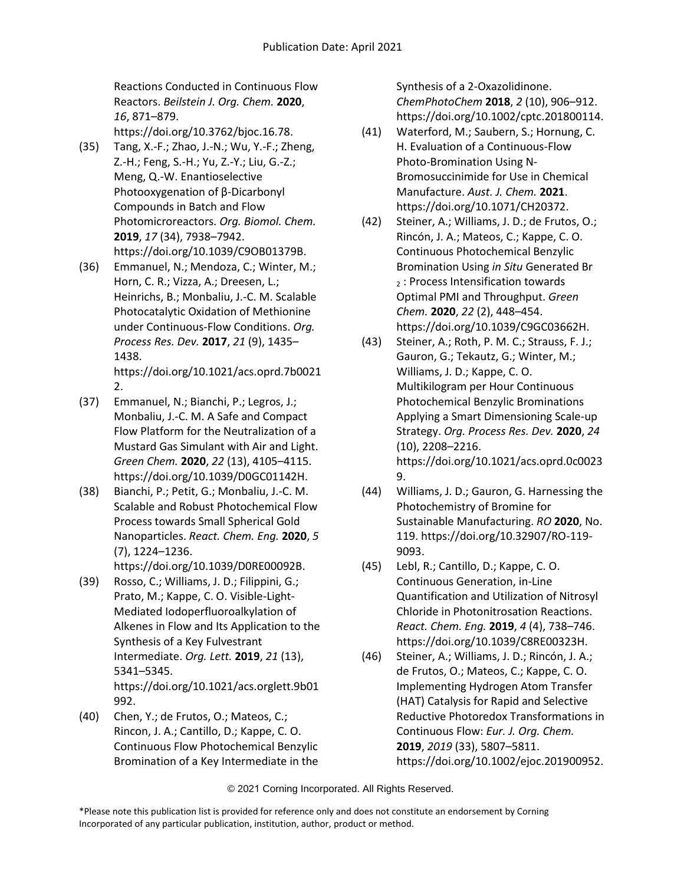Reactions Conducted in Continuous Flow Reactors. *Beilstein J. Org. Chem.* **2020**, *16*, 871–879.

https://doi.org/10.3762/bjoc.16.78.

- (35) Tang, X.-F.; Zhao, J.-N.; Wu, Y.-F.; Zheng, Z.-H.; Feng, S.-H.; Yu, Z.-Y.; Liu, G.-Z.; Meng, Q.-W. Enantioselective Photooxygenation of β-Dicarbonyl Compounds in Batch and Flow Photomicroreactors. *Org. Biomol. Chem.* **2019**, *17* (34), 7938–7942. https://doi.org/10.1039/C9OB01379B.
- (36) Emmanuel, N.; Mendoza, C.; Winter, M.; Horn, C. R.; Vizza, A.; Dreesen, L.; Heinrichs, B.; Monbaliu, J.-C. M. Scalable Photocatalytic Oxidation of Methionine under Continuous-Flow Conditions. *Org. Process Res. Dev.* **2017**, *21* (9), 1435– 1438. https://doi.org/10.1021/acs.oprd.7b0021

2.

- (37) Emmanuel, N.; Bianchi, P.; Legros, J.; Monbaliu, J.-C. M. A Safe and Compact Flow Platform for the Neutralization of a Mustard Gas Simulant with Air and Light. *Green Chem.* **2020**, *22* (13), 4105–4115. https://doi.org/10.1039/D0GC01142H.
- (38) Bianchi, P.; Petit, G.; Monbaliu, J.-C. M. Scalable and Robust Photochemical Flow Process towards Small Spherical Gold Nanoparticles. *React. Chem. Eng.* **2020**, *5* (7), 1224–1236.

https://doi.org/10.1039/D0RE00092B.

- (39) Rosso, C.; Williams, J. D.; Filippini, G.; Prato, M.; Kappe, C. O. Visible-Light-Mediated Iodoperfluoroalkylation of Alkenes in Flow and Its Application to the Synthesis of a Key Fulvestrant Intermediate. *Org. Lett.* **2019**, *21* (13), 5341–5345. https://doi.org/10.1021/acs.orglett.9b01 992.
- (40) Chen, Y.; de Frutos, O.; Mateos, C.; Rincon, J. A.; Cantillo, D.; Kappe, C. O. Continuous Flow Photochemical Benzylic Bromination of a Key Intermediate in the

Synthesis of a 2-Oxazolidinone. *ChemPhotoChem* **2018**, *2* (10), 906–912. https://doi.org/10.1002/cptc.201800114.

- (41) Waterford, M.; Saubern, S.; Hornung, C. H. Evaluation of a Continuous-Flow Photo-Bromination Using N-Bromosuccinimide for Use in Chemical Manufacture. *Aust. J. Chem.* **2021**. https://doi.org/10.1071/CH20372.
- (42) Steiner, A.; Williams, J. D.; de Frutos, O.; Rincón, J. A.; Mateos, C.; Kappe, C. O. Continuous Photochemical Benzylic Bromination Using *in Situ* Generated Br <sup>2</sup> : Process Intensification towards Optimal PMI and Throughput. *Green Chem.* **2020**, *22* (2), 448–454. https://doi.org/10.1039/C9GC03662H.
- (43) Steiner, A.; Roth, P. M. C.; Strauss, F. J.; Gauron, G.; Tekautz, G.; Winter, M.; Williams, J. D.; Kappe, C. O. Multikilogram per Hour Continuous Photochemical Benzylic Brominations Applying a Smart Dimensioning Scale-up Strategy. *Org. Process Res. Dev.* **2020**, *24* (10), 2208–2216. https://doi.org/10.1021/acs.oprd.0c0023 9.
- (44) Williams, J. D.; Gauron, G. Harnessing the Photochemistry of Bromine for Sustainable Manufacturing. *RO* **2020**, No. 119. https://doi.org/10.32907/RO-119- 9093.
- (45) Lebl, R.; Cantillo, D.; Kappe, C. O. Continuous Generation, in-Line Quantification and Utilization of Nitrosyl Chloride in Photonitrosation Reactions. *React. Chem. Eng.* **2019**, *4* (4), 738–746. https://doi.org/10.1039/C8RE00323H.
- (46) Steiner, A.; Williams, J. D.; Rincón, J. A.; de Frutos, O.; Mateos, C.; Kappe, C. O. Implementing Hydrogen Atom Transfer (HAT) Catalysis for Rapid and Selective Reductive Photoredox Transformations in Continuous Flow: *Eur. J. Org. Chem.* **2019**, *2019* (33), 5807–5811. https://doi.org/10.1002/ejoc.201900952.

<sup>\*</sup>Please note this publication list is provided for reference only and does not constitute an endorsement by Corning Incorporated of any particular publication, institution, author, product or method.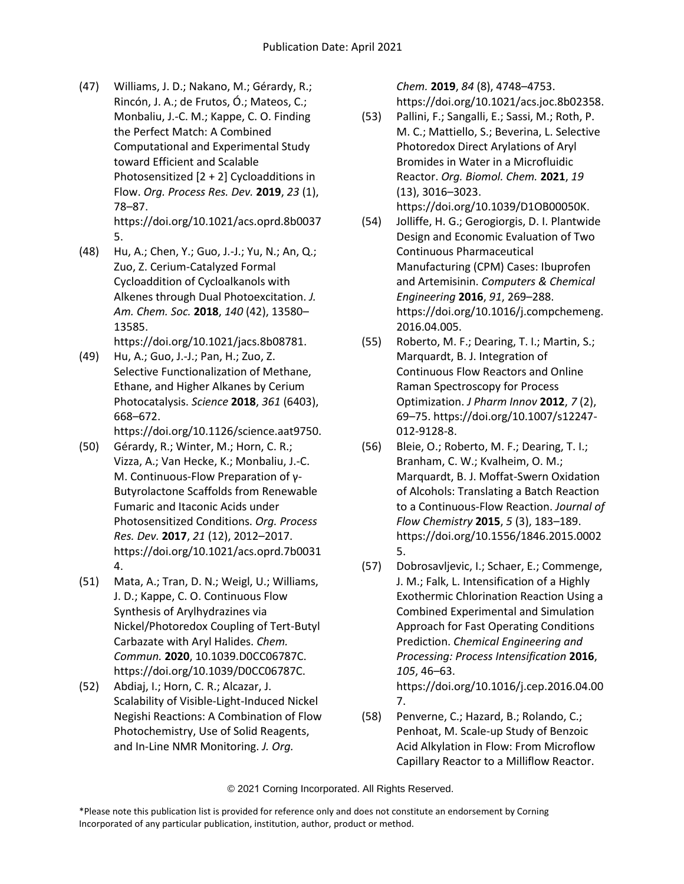(47) Williams, J. D.; Nakano, M.; Gérardy, R.; Rincón, J. A.; de Frutos, Ó.; Mateos, C.; Monbaliu, J.-C. M.; Kappe, C. O. Finding the Perfect Match: A Combined Computational and Experimental Study toward Efficient and Scalable Photosensitized [2 + 2] Cycloadditions in Flow. *Org. Process Res. Dev.* **2019**, *23* (1), 78–87.

https://doi.org/10.1021/acs.oprd.8b0037 5.

(48) Hu, A.; Chen, Y.; Guo, J.-J.; Yu, N.; An, Q.; Zuo, Z. Cerium-Catalyzed Formal Cycloaddition of Cycloalkanols with Alkenes through Dual Photoexcitation. *J. Am. Chem. Soc.* **2018**, *140* (42), 13580– 13585.

https://doi.org/10.1021/jacs.8b08781.

(49) Hu, A.; Guo, J.-J.; Pan, H.; Zuo, Z. Selective Functionalization of Methane, Ethane, and Higher Alkanes by Cerium Photocatalysis. *Science* **2018**, *361* (6403), 668–672.

https://doi.org/10.1126/science.aat9750.

- (50) Gérardy, R.; Winter, M.; Horn, C. R.; Vizza, A.; Van Hecke, K.; Monbaliu, J.-C. M. Continuous-Flow Preparation of γ-Butyrolactone Scaffolds from Renewable Fumaric and Itaconic Acids under Photosensitized Conditions. *Org. Process Res. Dev.* **2017**, *21* (12), 2012–2017. https://doi.org/10.1021/acs.oprd.7b0031 4.
- (51) Mata, A.; Tran, D. N.; Weigl, U.; Williams, J. D.; Kappe, C. O. Continuous Flow Synthesis of Arylhydrazines via Nickel/Photoredox Coupling of Tert-Butyl Carbazate with Aryl Halides. *Chem. Commun.* **2020**, 10.1039.D0CC06787C. https://doi.org/10.1039/D0CC06787C.
- (52) Abdiaj, I.; Horn, C. R.; Alcazar, J. Scalability of Visible-Light-Induced Nickel Negishi Reactions: A Combination of Flow Photochemistry, Use of Solid Reagents, and In-Line NMR Monitoring. *J. Org.*

*Chem.* **2019**, *84* (8), 4748–4753. https://doi.org/10.1021/acs.joc.8b02358.

- (53) Pallini, F.; Sangalli, E.; Sassi, M.; Roth, P. M. C.; Mattiello, S.; Beverina, L. Selective Photoredox Direct Arylations of Aryl Bromides in Water in a Microfluidic Reactor. *Org. Biomol. Chem.* **2021**, *19* (13), 3016–3023. https://doi.org/10.1039/D1OB00050K.
- (54) Jolliffe, H. G.; Gerogiorgis, D. I. Plantwide Design and Economic Evaluation of Two Continuous Pharmaceutical Manufacturing (CPM) Cases: Ibuprofen and Artemisinin. *Computers & Chemical Engineering* **2016**, *91*, 269–288. https://doi.org/10.1016/j.compchemeng. 2016.04.005.
- (55) Roberto, M. F.; Dearing, T. I.; Martin, S.; Marquardt, B. J. Integration of Continuous Flow Reactors and Online Raman Spectroscopy for Process Optimization. *J Pharm Innov* **2012**, *7* (2), 69–75. https://doi.org/10.1007/s12247- 012-9128-8.
- (56) Bleie, O.; Roberto, M. F.; Dearing, T. I.; Branham, C. W.; Kvalheim, O. M.; Marquardt, B. J. Moffat-Swern Oxidation of Alcohols: Translating a Batch Reaction to a Continuous-Flow Reaction. *Journal of Flow Chemistry* **2015**, *5* (3), 183–189. https://doi.org/10.1556/1846.2015.0002 5.
- (57) Dobrosavljevic, I.; Schaer, E.; Commenge, J. M.; Falk, L. Intensification of a Highly Exothermic Chlorination Reaction Using a Combined Experimental and Simulation Approach for Fast Operating Conditions Prediction. *Chemical Engineering and Processing: Process Intensification* **2016**, *105*, 46–63. https://doi.org/10.1016/j.cep.2016.04.00

7. (58) Penverne, C.; Hazard, B.; Rolando, C.;

Penhoat, M. Scale-up Study of Benzoic Acid Alkylation in Flow: From Microflow Capillary Reactor to a Milliflow Reactor.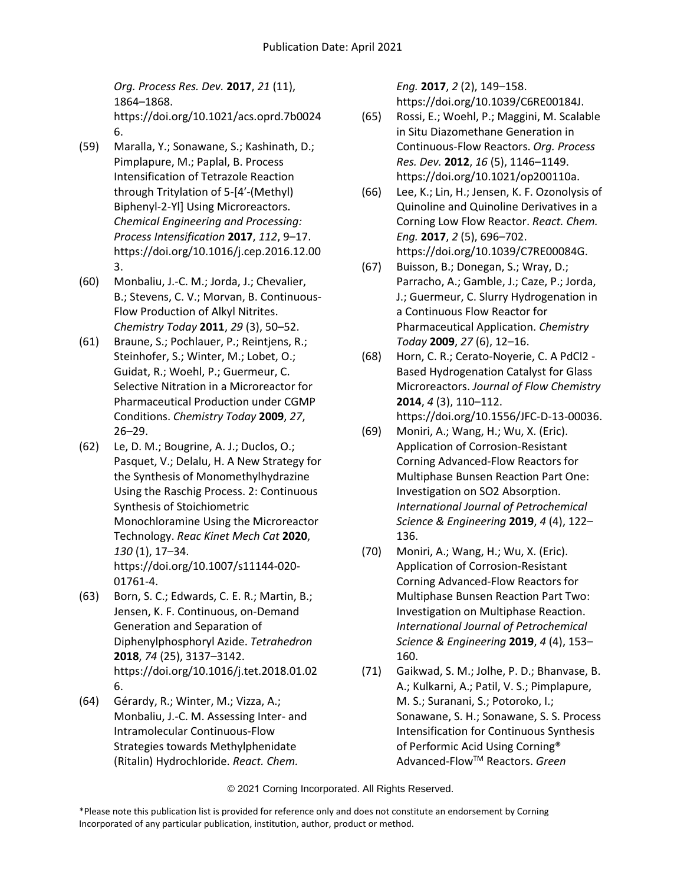*Org. Process Res. Dev.* **2017**, *21* (11), 1864–1868. https://doi.org/10.1021/acs.oprd.7b0024 6.

- (59) Maralla, Y.; Sonawane, S.; Kashinath, D.; Pimplapure, M.; Paplal, B. Process Intensification of Tetrazole Reaction through Tritylation of 5-[4′-(Methyl) Biphenyl-2-Yl] Using Microreactors. *Chemical Engineering and Processing: Process Intensification* **2017**, *112*, 9–17. https://doi.org/10.1016/j.cep.2016.12.00 3.
- (60) Monbaliu, J.-C. M.; Jorda, J.; Chevalier, B.; Stevens, C. V.; Morvan, B. Continuous-Flow Production of Alkyl Nitrites. *Chemistry Today* **2011**, *29* (3), 50–52.
- (61) Braune, S.; Pochlauer, P.; Reintjens, R.; Steinhofer, S.; Winter, M.; Lobet, O.; Guidat, R.; Woehl, P.; Guermeur, C. Selective Nitration in a Microreactor for Pharmaceutical Production under CGMP Conditions. *Chemistry Today* **2009**, *27*, 26–29.
- (62) Le, D. M.; Bougrine, A. J.; Duclos, O.; Pasquet, V.; Delalu, H. A New Strategy for the Synthesis of Monomethylhydrazine Using the Raschig Process. 2: Continuous Synthesis of Stoichiometric Monochloramine Using the Microreactor Technology. *Reac Kinet Mech Cat* **2020**, *130* (1), 17–34. https://doi.org/10.1007/s11144-020- 01761-4.
- (63) Born, S. C.; Edwards, C. E. R.; Martin, B.; Jensen, K. F. Continuous, on-Demand Generation and Separation of Diphenylphosphoryl Azide. *Tetrahedron* **2018**, *74* (25), 3137–3142. https://doi.org/10.1016/j.tet.2018.01.02 6.
- (64) Gérardy, R.; Winter, M.; Vizza, A.; Monbaliu, J.-C. M. Assessing Inter- and Intramolecular Continuous-Flow Strategies towards Methylphenidate (Ritalin) Hydrochloride. *React. Chem.*

*Eng.* **2017**, *2* (2), 149–158. https://doi.org/10.1039/C6RE00184J.

- (65) Rossi, E.; Woehl, P.; Maggini, M. Scalable in Situ Diazomethane Generation in Continuous-Flow Reactors. *Org. Process Res. Dev.* **2012**, *16* (5), 1146–1149. https://doi.org/10.1021/op200110a.
- (66) Lee, K.; Lin, H.; Jensen, K. F. Ozonolysis of Quinoline and Quinoline Derivatives in a Corning Low Flow Reactor. *React. Chem. Eng.* **2017**, *2* (5), 696–702. https://doi.org/10.1039/C7RE00084G.
- (67) Buisson, B.; Donegan, S.; Wray, D.; Parracho, A.; Gamble, J.; Caze, P.; Jorda, J.; Guermeur, C. Slurry Hydrogenation in a Continuous Flow Reactor for Pharmaceutical Application. *Chemistry Today* **2009**, *27* (6), 12–16.
- (68) Horn, C. R.; Cerato-Noyerie, C. A PdCl2 Based Hydrogenation Catalyst for Glass Microreactors. *Journal of Flow Chemistry* **2014**, *4* (3), 110–112. https://doi.org/10.1556/JFC-D-13-00036.
- (69) Moniri, A.; Wang, H.; Wu, X. (Eric). Application of Corrosion-Resistant Corning Advanced-Flow Reactors for Multiphase Bunsen Reaction Part One: Investigation on SO2 Absorption. *International Journal of Petrochemical Science & Engineering* **2019**, *4* (4), 122– 136.
- (70) Moniri, A.; Wang, H.; Wu, X. (Eric). Application of Corrosion-Resistant Corning Advanced-Flow Reactors for Multiphase Bunsen Reaction Part Two: Investigation on Multiphase Reaction. *International Journal of Petrochemical Science & Engineering* **2019**, *4* (4), 153– 160.
- (71) Gaikwad, S. M.; Jolhe, P. D.; Bhanvase, B. A.; Kulkarni, A.; Patil, V. S.; Pimplapure, M. S.; Suranani, S.; Potoroko, I.; Sonawane, S. H.; Sonawane, S. S. Process Intensification for Continuous Synthesis of Performic Acid Using Corning® Advanced-FlowTM Reactors. *Green*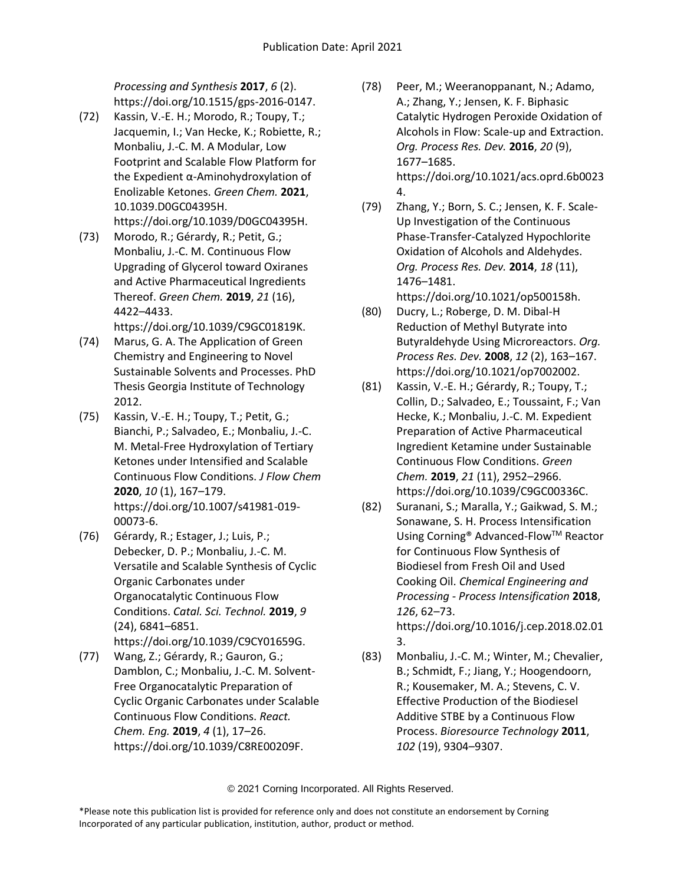*Processing and Synthesis* **2017**, *6* (2). https://doi.org/10.1515/gps-2016-0147.

- (72) Kassin, V.-E. H.; Morodo, R.; Toupy, T.; Jacquemin, I.; Van Hecke, K.; Robiette, R.; Monbaliu, J.-C. M. A Modular, Low Footprint and Scalable Flow Platform for the Expedient α-Aminohydroxylation of Enolizable Ketones. *Green Chem.* **2021**, 10.1039.D0GC04395H. https://doi.org/10.1039/D0GC04395H.
- (73) Morodo, R.; Gérardy, R.; Petit, G.; Monbaliu, J.-C. M. Continuous Flow Upgrading of Glycerol toward Oxiranes and Active Pharmaceutical Ingredients Thereof. *Green Chem.* **2019**, *21* (16), 4422–4433.

https://doi.org/10.1039/C9GC01819K.

- (74) Marus, G. A. The Application of Green Chemistry and Engineering to Novel Sustainable Solvents and Processes. PhD Thesis Georgia Institute of Technology 2012.
- (75) Kassin, V.-E. H.; Toupy, T.; Petit, G.; Bianchi, P.; Salvadeo, E.; Monbaliu, J.-C. M. Metal-Free Hydroxylation of Tertiary Ketones under Intensified and Scalable Continuous Flow Conditions. *J Flow Chem* **2020**, *10* (1), 167–179. https://doi.org/10.1007/s41981-019- 00073-6.
- (76) Gérardy, R.; Estager, J.; Luis, P.; Debecker, D. P.; Monbaliu, J.-C. M. Versatile and Scalable Synthesis of Cyclic Organic Carbonates under Organocatalytic Continuous Flow Conditions. *Catal. Sci. Technol.* **2019**, *9* (24), 6841–6851. https://doi.org/10.1039/C9CY01659G.
- (77) Wang, Z.; Gérardy, R.; Gauron, G.; Damblon, C.; Monbaliu, J.-C. M. Solvent-Free Organocatalytic Preparation of Cyclic Organic Carbonates under Scalable Continuous Flow Conditions. *React. Chem. Eng.* **2019**, *4* (1), 17–26. https://doi.org/10.1039/C8RE00209F.
- (78) Peer, M.; Weeranoppanant, N.; Adamo, A.; Zhang, Y.; Jensen, K. F. Biphasic Catalytic Hydrogen Peroxide Oxidation of Alcohols in Flow: Scale-up and Extraction. *Org. Process Res. Dev.* **2016**, *20* (9), 1677–1685. https://doi.org/10.1021/acs.oprd.6b0023 4.
- (79) Zhang, Y.; Born, S. C.; Jensen, K. F. Scale-Up Investigation of the Continuous Phase-Transfer-Catalyzed Hypochlorite Oxidation of Alcohols and Aldehydes. *Org. Process Res. Dev.* **2014**, *18* (11), 1476–1481. https://doi.org/10.1021/op500158h.
- (80) Ducry, L.; Roberge, D. M. Dibal-H Reduction of Methyl Butyrate into Butyraldehyde Using Microreactors. *Org. Process Res. Dev.* **2008**, *12* (2), 163–167. https://doi.org/10.1021/op7002002.
- (81) Kassin, V.-E. H.; Gérardy, R.; Toupy, T.; Collin, D.; Salvadeo, E.; Toussaint, F.; Van Hecke, K.; Monbaliu, J.-C. M. Expedient Preparation of Active Pharmaceutical Ingredient Ketamine under Sustainable Continuous Flow Conditions. *Green Chem.* **2019**, *21* (11), 2952–2966. https://doi.org/10.1039/C9GC00336C.
- (82) Suranani, S.; Maralla, Y.; Gaikwad, S. M.; Sonawane, S. H. Process Intensification Using Corning® Advanced-Flow™ Reactor for Continuous Flow Synthesis of Biodiesel from Fresh Oil and Used Cooking Oil. *Chemical Engineering and Processing - Process Intensification* **2018**, *126*, 62–73. https://doi.org/10.1016/j.cep.2018.02.01 3.
- (83) Monbaliu, J.-C. M.; Winter, M.; Chevalier, B.; Schmidt, F.; Jiang, Y.; Hoogendoorn, R.; Kousemaker, M. A.; Stevens, C. V. Effective Production of the Biodiesel Additive STBE by a Continuous Flow Process. *Bioresource Technology* **2011**, *102* (19), 9304–9307.